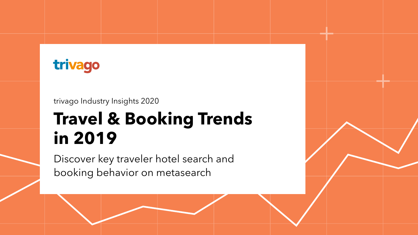# **Travel & Booking Trends in 2019**

Discover key traveler hotel search and booking behavior on metasearch





trivago Industry Insights 2020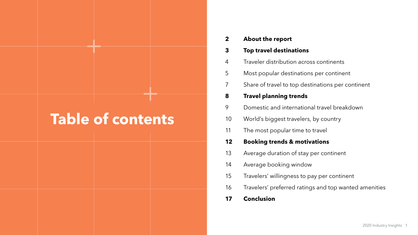| $\boldsymbol{2}$ | <b>About the report</b>     |  |
|------------------|-----------------------------|--|
| 3                | <b>Top travel destina</b>   |  |
| 4                | Traveler distributior       |  |
| 5                | Most popular destir         |  |
| $\overline{7}$   | Share of travel to to       |  |
| 8                | <b>Travel planning tro</b>  |  |
| 9                | Domestic and inter          |  |
| 10               | World's biggest tra         |  |
| 11               | The most popular t          |  |
| 12               | <b>Booking trends &amp;</b> |  |
| 13               | Average duration o          |  |
| 14               | Average booking w           |  |
| 15               | Travelers' willingnes       |  |
| 16               | Travelers' preferred        |  |
|                  |                             |  |

**Conclusion 17**

#### **Ations**

- n across continents
- inations per continent
- p destinations per continent

#### **rends**

- rnational travel breakdown
- welers, by country
- time to travel

#### **motivations**

- of stay per continent
- window
- ss to pay per continent
- ratings and top wanted amenities

#### **Table of contents**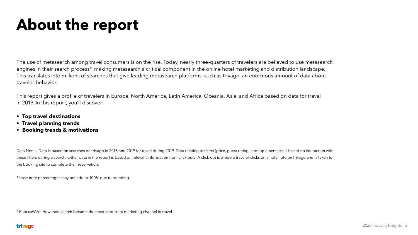The use of metasearch among travel consumers is on the rise. Today, nearly three-quarters of travelers are believed to use metasearch engines in their search process\*, making metasearch a critical component in the online hotel marketing and distribution landscape. This translates into millions of searches that give leading metasearch platforms, such as trivago, an enormous amount of data about traveler behavior.

This report gives a profile of travelers in Europe, North America, Latin America, Oceania, Asia, and Africa based on data for travel in 2019. In this report, you'll discover:

- **• Top travel destinations**
- **• Travel planning trends**
- **• Booking trends & motivations**

Data Notes: Data is based on searches on trivago in 2018 and 2019 for travel during 2019. Data relating to filters (price, guest rating, and top amenities) is based on interaction with these filters during a search. Other data in the report is based on relevant information from click-outs. A click-out is where a traveler clicks on a hotel rate on trivago and is taken to the booking site to complete their reservation.

Please note percentages may not add to 100% due to rounding.

\* PhocusWire: How metasearch became the most important marketing channel in travel

#### trivago

# **About the report**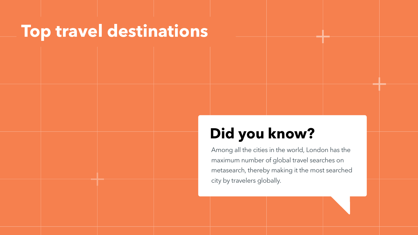#### **Top travel destinations**

### **Did you know?**

Among all the cities in the world, London has the maximum number of global travel searches on metasearch, thereby making it the most searched city by travelers globally.

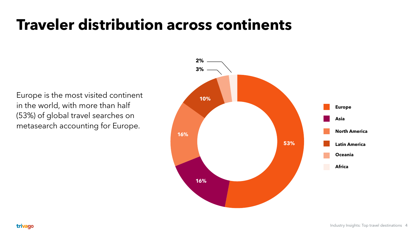### **Traveler distribution across continents**





Europe is the most visited continent in the world, with more than half (53%) of global travel searches on metasearch accounting for Europe.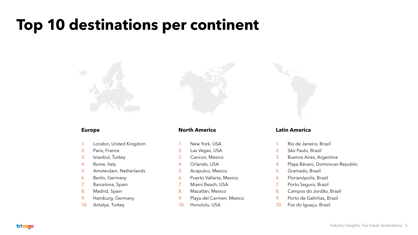### **Top 10 destinations per continent**







- 1. London, United Kingdom
- 2. Paris, France
- 3. Istanbul, Turkey
- 4. Rome, Italy
- 5. Amsterdam, Netherlands
- 6. Berlin, Germany
- 7. Barcelona, Spain
- 8. Madrid, Spain
- 9. Hamburg, Germany
- 10. Antalya, Turkey

de Janeiro, Brazil Paulo, Brazil nos Aires, Argentina a Bávaro, Dominican Republic mado, Brazil ianópolis, Brazil to Seguro, Brazil npos do Jordão, Brazil to de Galinhas, Brazil 10. Foz do Iguaçu, Brazil

#### **Latin America**

#### **North America**

| 1.  | New York, USA            |     | Rio d       |
|-----|--------------------------|-----|-------------|
| 2.  | Las Vegas, USA           | 2.  | São         |
| 3.  | Cancún, Mexico           | 3.  | <b>Buer</b> |
| 4.  | Orlando, USA             | 4.  | Playa       |
| 5.  | Acapulco, Mexico         | 5.  | Grar        |
| 6.  | Puerto Vallarta, Mexico  | 6.  | Flori       |
| 7.  | Miami Beach, USA         | 7.  | Port        |
| 8.  | Mazatlán, Mexico         | 8.  | Cam         |
| 9.  | Playa del Carmen, Mexico | 9.  | Port        |
| 10. | Honolulu, USA            | 10. | Foz         |

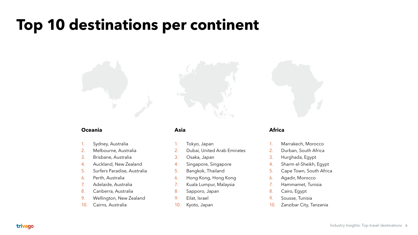### **Top 10 destinations per continent**

#### **Asia**

- 1. Tokyo, Japan
- 2. Dubai, United Arab Emirates
- 3. Osaka, Japan
- 4. Singapore, Singapore
- 5. Bangkok, Thailand
- 6. Hong Kong, Hong Kong
- 7. Kuala Lumpur, Malaysia
- 8. Sapporo, Japan
- 9. Eilat, Israel
- 10. Kyoto, Japan

#### **Africa**

1. Marrakech, Morocco 2. Durban, South Africa 3. Hurghada, Egypt 4. Sharm el-Sheikh, Egypt 5. Cape Town, South Africa 6. Agadir, Morocco 7. Hammamet, Tunisia 8. Cairo, Egypt 10. Zanzibar City, Tanzania

- 
- 
- 
- 
- 
- 
- 
- 
- 9. Sousse, Tunisia
- 



#### **Oceania**

- 1. Sydney, Australia
- 2. Melbourne, Australia
- 3. Brisbane, Australia
- 4. Auckland, New Zealand
- 5. Surfers Paradise, Australia
- 6. Perth, Australia
- 7. Adelaide, Australia
- 8. Canberra, Australia
- 9. Wellington, New Zealand
- 10. Cairns, Australia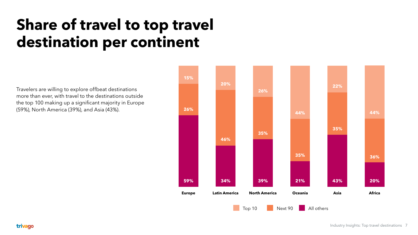# **Share of travel to top travel destination per continent**

Travelers are willing to explore offbeat destinations more than ever, with travel to the destinations outside the top 100 making up a significant majority in Europe

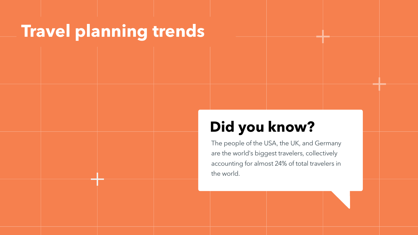# **Travel planning trends**

### **Did you know?**

The people of the USA, the UK, and Germany are the world's biggest travelers, collectively accounting for almost 24% of total travelers in the world.

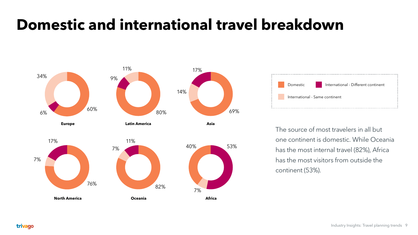### **Domestic and international travel breakdown**



#### trivago

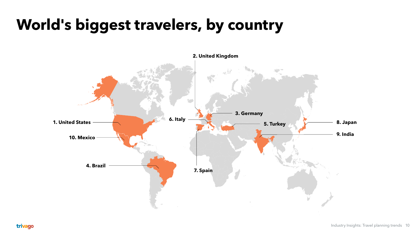## **World's biggest travelers, by country**

**2. United Kingdom**



**8. Japan**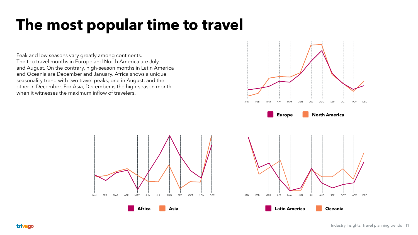

Peak and low seasons vary greatly among continents. The top travel months in Europe and North America are July and August. On the contrary, high-season months in Latin America and Oceania are December and January. Africa shows a unique seasonality trend with two travel peaks, one in August, and the other in December. For Asia, December is the high-season month when it witnesses the maximum inflow of travelers.



## **The most popular time to travel**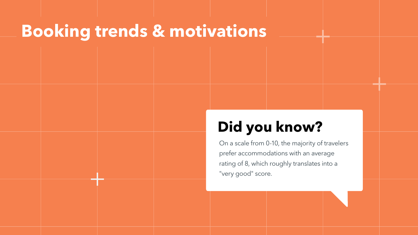### **Booking trends & motivations**

### **Did you know?**

On a scale from 0-10, the majority of travelers prefer accommodations with an average rating of 8, which roughly translates into a "very good" score.



- 
-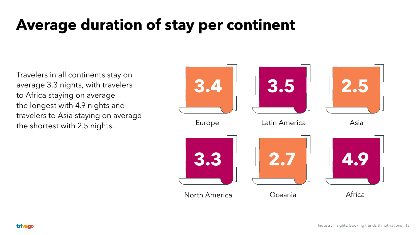# **Average duration of stay per continent**



Travelers in all continents stay on average 3.3 nights, with travelers to Africa staying on average the longest with 4.9 nights and travelers to Asia staying on average the shortest with 2.5 nights.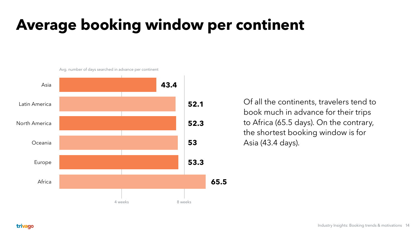### **Average booking window per continent**



trivago

Of all the continents, travelers tend to book much in advance for their trips to Africa (65.5 days). On the contrary, the shortest booking window is for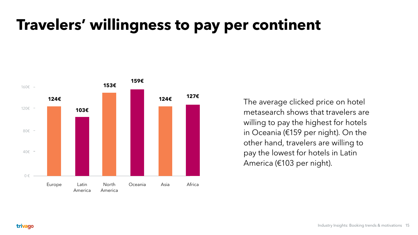## **Travelers' willingness to pay per continent**



metasearch shows that travelers are willing to pay the highest for hotels in Oceania (€159 per night). On the other hand, travelers are willing to pay the lowest for hotels in Latin America (€103 per night).

#### trivago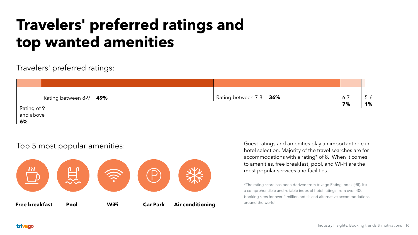Guest ratings and amenities play an important role in hotel selection. Majority of the travel searches are for accommodations with a rating\* of 8. When it comes to amenities, free breakfast, pool, and Wi-Fi are the most popular services and facilities.

\*The rating score has been derived from trivago Rating Index (tRI). It's a comprehensible and reliable index of hotel ratings from over 400 booking sites for over 2 million hotels and alternative accommodations around the world.

#### trivago

#### Top 5 most popular amenities:

Travelers' preferred ratings:

## **Travelers' preferred ratings and top wanted amenities**

Rating of 9 and above **6%**

Rating between 8-9 6-7



**49%** Rating between 7-8 **36%**